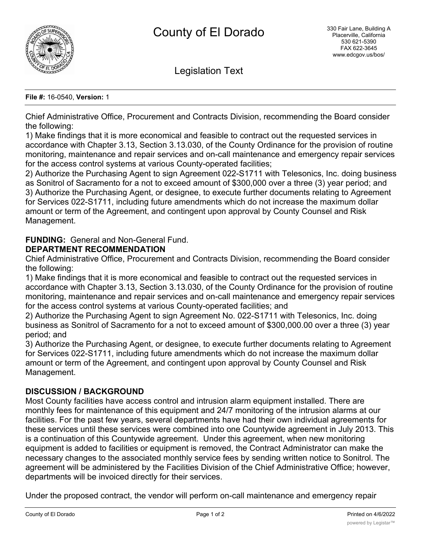

Legislation Text

### **File #:** 16-0540, **Version:** 1

Chief Administrative Office, Procurement and Contracts Division, recommending the Board consider the following:

1) Make findings that it is more economical and feasible to contract out the requested services in accordance with Chapter 3.13, Section 3.13.030, of the County Ordinance for the provision of routine monitoring, maintenance and repair services and on-call maintenance and emergency repair services for the access control systems at various County-operated facilities;

2) Authorize the Purchasing Agent to sign Agreement 022-S1711 with Telesonics, Inc. doing business as Sonitrol of Sacramento for a not to exceed amount of \$300,000 over a three (3) year period; and 3) Authorize the Purchasing Agent, or designee, to execute further documents relating to Agreement for Services 022-S1711, including future amendments which do not increase the maximum dollar amount or term of the Agreement, and contingent upon approval by County Counsel and Risk Management.

# **FUNDING:** General and Non-General Fund.

# **DEPARTMENT RECOMMENDATION**

Chief Administrative Office, Procurement and Contracts Division, recommending the Board consider the following:

1) Make findings that it is more economical and feasible to contract out the requested services in accordance with Chapter 3.13, Section 3.13.030, of the County Ordinance for the provision of routine monitoring, maintenance and repair services and on-call maintenance and emergency repair services for the access control systems at various County-operated facilities; and

2) Authorize the Purchasing Agent to sign Agreement No. 022-S1711 with Telesonics, Inc. doing business as Sonitrol of Sacramento for a not to exceed amount of \$300,000.00 over a three (3) year period; and

3) Authorize the Purchasing Agent, or designee, to execute further documents relating to Agreement for Services 022-S1711, including future amendments which do not increase the maximum dollar amount or term of the Agreement, and contingent upon approval by County Counsel and Risk Management.

# **DISCUSSION / BACKGROUND**

Most County facilities have access control and intrusion alarm equipment installed. There are monthly fees for maintenance of this equipment and 24/7 monitoring of the intrusion alarms at our facilities. For the past few years, several departments have had their own individual agreements for these services until these services were combined into one Countywide agreement in July 2013. This is a continuation of this Countywide agreement. Under this agreement, when new monitoring equipment is added to facilities or equipment is removed, the Contract Administrator can make the necessary changes to the associated monthly service fees by sending written notice to Sonitrol. The agreement will be administered by the Facilities Division of the Chief Administrative Office; however, departments will be invoiced directly for their services.

Under the proposed contract, the vendor will perform on-call maintenance and emergency repair